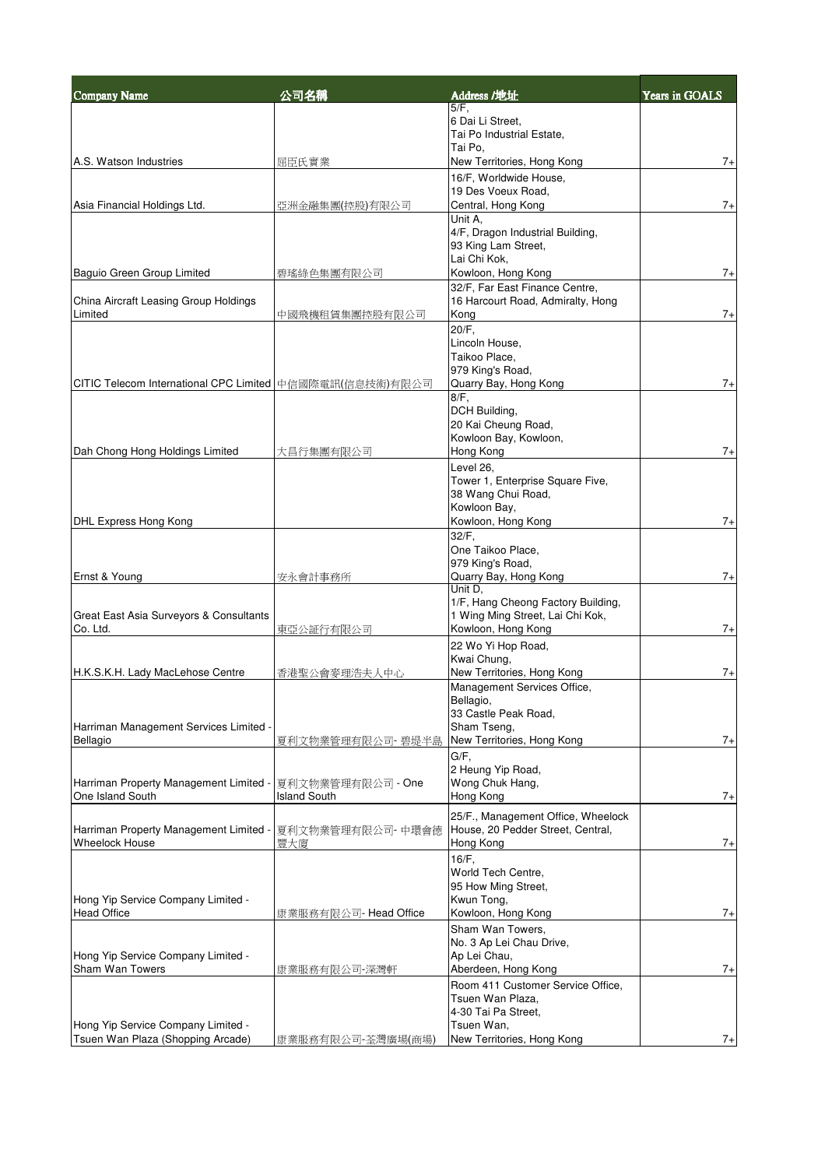| <b>Company Name</b>                                      | 公司名稱                  | Address /地址                                             | Years in GOALS |
|----------------------------------------------------------|-----------------------|---------------------------------------------------------|----------------|
|                                                          |                       | $5/F$ .                                                 |                |
|                                                          |                       | 6 Dai Li Street,<br>Tai Po Industrial Estate,           |                |
|                                                          |                       | Tai Po.                                                 |                |
| A.S. Watson Industries                                   | 屈臣氏實業                 | New Territories, Hong Kong                              | $7+$           |
|                                                          |                       | 16/F, Worldwide House,                                  |                |
|                                                          |                       | 19 Des Voeux Road.                                      |                |
| Asia Financial Holdings Ltd.                             | 亞洲金融集團(控股)有限公司        | Central, Hong Kong                                      | $7+$           |
|                                                          |                       | Unit A.                                                 |                |
|                                                          |                       | 4/F, Dragon Industrial Building,<br>93 King Lam Street, |                |
|                                                          |                       | Lai Chi Kok.                                            |                |
| Baguio Green Group Limited                               | 碧瑤綠色集團有限公司            | Kowloon, Hong Kong                                      | $7+$           |
|                                                          |                       | 32/F, Far East Finance Centre,                          |                |
| China Aircraft Leasing Group Holdings                    |                       | 16 Harcourt Road, Admiralty, Hong                       |                |
| Limited                                                  | 中國飛機租賃集團控股有限公司        | Kong                                                    | $7+$           |
|                                                          |                       | 20/F,                                                   |                |
|                                                          |                       | Lincoln House,                                          |                |
|                                                          |                       | Taikoo Place,<br>979 King's Road,                       |                |
| CITIC Telecom International CPC Limited 中信國際電訊(信息技術)有限公司 |                       | Quarry Bay, Hong Kong                                   | $7+$           |
|                                                          |                       | $8/F$ .                                                 |                |
|                                                          |                       | DCH Building,                                           |                |
|                                                          |                       | 20 Kai Cheung Road,                                     |                |
|                                                          |                       | Kowloon Bay, Kowloon,                                   |                |
| Dah Chong Hong Holdings Limited                          | 大昌行集團有限公司             | Hong Kong                                               | $7+$           |
|                                                          |                       | Level 26,                                               |                |
|                                                          |                       | Tower 1, Enterprise Square Five,<br>38 Wang Chui Road,  |                |
|                                                          |                       | Kowloon Bay,                                            |                |
| DHL Express Hong Kong                                    |                       | Kowloon, Hong Kong                                      | $7+$           |
|                                                          |                       | $32/F$ ,                                                |                |
|                                                          |                       | One Taikoo Place,                                       |                |
|                                                          |                       | 979 King's Road,                                        |                |
| Ernst & Young                                            | 安永會計事務所               | Quarry Bay, Hong Kong<br>Unit D.                        | $7+$           |
|                                                          |                       | 1/F, Hang Cheong Factory Building,                      |                |
| Great East Asia Surveyors & Consultants                  |                       | 1 Wing Ming Street, Lai Chi Kok,                        |                |
| Co. Ltd.                                                 | 東亞公証行有限公司             | Kowloon, Hong Kong                                      | $7+$           |
|                                                          |                       | 22 Wo Yi Hop Road,                                      |                |
|                                                          |                       | Kwai Chung,                                             |                |
| H.K.S.K.H. Lady MacLehose Centre                         | 香港聖公會麥理浩夫人中心          | New Territories, Hong Kong                              | $7+$           |
|                                                          |                       | Management Services Office,                             |                |
|                                                          |                       | Bellagio,<br>33 Castle Peak Road,                       |                |
| Harriman Management Services Limited                     |                       | Sham Tseng,                                             |                |
| Bellagio                                                 | 夏利文物業管理有限公司- 碧堤半島     | New Territories, Hong Kong                              | $7+$           |
|                                                          |                       | G/F,                                                    |                |
|                                                          |                       | 2 Heung Yip Road,                                       |                |
| Harriman Property Management Limited                     | 夏利文物業管理有限公司 - One     | Wong Chuk Hang,                                         |                |
| One Island South                                         | Island South          | Hong Kong                                               | $7+$           |
|                                                          |                       | 25/F., Management Office, Wheelock                      |                |
| Harriman Property Management Limited -                   | 夏利文物業管理有限公司- 中環會德     | House, 20 Pedder Street, Central,                       |                |
| <b>Wheelock House</b>                                    | 豐大廈                   | Hong Kong                                               | $7+$           |
|                                                          |                       | $16/F$ ,                                                |                |
|                                                          |                       | World Tech Centre,<br>95 How Ming Street,               |                |
| Hong Yip Service Company Limited -                       |                       | Kwun Tong,                                              |                |
| <b>Head Office</b>                                       | 康業服務有限公司- Head Office | Kowloon, Hong Kong                                      | $7+$           |
|                                                          |                       | Sham Wan Towers,                                        |                |
|                                                          |                       | No. 3 Ap Lei Chau Drive,                                |                |
| Hong Yip Service Company Limited -                       |                       | Ap Lei Chau,                                            |                |
| Sham Wan Towers                                          | 康業服務有限公司-深灣軒          | Aberdeen, Hong Kong                                     | $7+$           |
|                                                          |                       | Room 411 Customer Service Office,                       |                |
|                                                          |                       | Tsuen Wan Plaza.                                        |                |
| Hong Yip Service Company Limited -                       |                       | 4-30 Tai Pa Street,<br>Tsuen Wan,                       |                |
| Tsuen Wan Plaza (Shopping Arcade)                        | 康業服務有限公司-荃灣廣場(商場)     | New Territories, Hong Kong                              | $7+$           |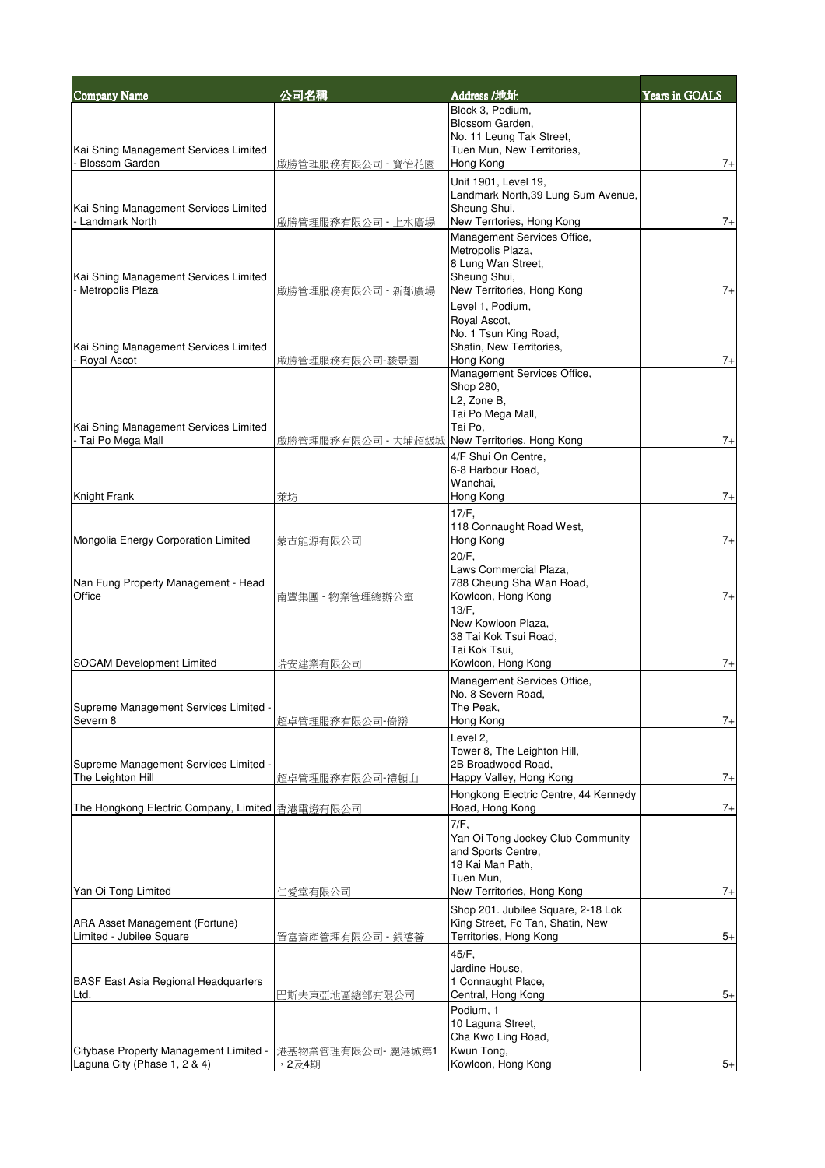| <b>Company Name</b>                                         | 公司名稱               | Address /地址                                                 | Years in GOALS |
|-------------------------------------------------------------|--------------------|-------------------------------------------------------------|----------------|
|                                                             |                    | Block 3, Podium,                                            |                |
|                                                             |                    | Blossom Garden,<br>No. 11 Leung Tak Street,                 |                |
| Kai Shing Management Services Limited                       |                    | Tuen Mun, New Territories,                                  |                |
| <b>Blossom Garden</b>                                       | 啟勝管理服務有限公司 - 寶怡花園  | Hong Kong                                                   | $7+$           |
|                                                             |                    | Unit 1901, Level 19,<br>Landmark North, 39 Lung Sum Avenue, |                |
| Kai Shing Management Services Limited                       |                    | Sheung Shui,                                                |                |
| - Landmark North                                            | 啟勝管理服務有限公司 - 上水廣場  | New Terrtories, Hong Kong                                   | $7+$           |
|                                                             |                    | Management Services Office,<br>Metropolis Plaza,            |                |
|                                                             |                    | 8 Lung Wan Street,                                          |                |
| Kai Shing Management Services Limited<br>- Metropolis Plaza | 啟勝管理服務有限公司 - 新都廣場  | Sheung Shui,<br>New Territories, Hong Kong                  | $7+$           |
|                                                             |                    | Level 1, Podium,                                            |                |
|                                                             |                    | Royal Ascot,                                                |                |
| Kai Shing Management Services Limited                       |                    | No. 1 Tsun King Road,<br>Shatin, New Territories,           |                |
| Royal Ascot                                                 | 啟勝管理服務有限公司-駿景園     | Hong Kong                                                   | $7+$           |
|                                                             |                    | Management Services Office,                                 |                |
|                                                             |                    | Shop 280,<br>L2, Zone B,                                    |                |
|                                                             |                    | Tai Po Mega Mall,                                           |                |
| Kai Shing Management Services Limited<br>- Tai Po Mega Mall | 啟勝管理服務有限公司 - 大埔超級城 | Tai Po,<br>New Territories, Hong Kong                       | $7+$           |
|                                                             |                    | 4/F Shui On Centre,                                         |                |
|                                                             |                    | 6-8 Harbour Road.                                           |                |
| Knight Frank                                                | 萊坊                 | Wanchai.<br>Hong Kong                                       | $7+$           |
|                                                             |                    | $17/F$ ,                                                    |                |
|                                                             |                    | 118 Connaught Road West,                                    |                |
| Mongolia Energy Corporation Limited                         | 蒙古能源有限公司           | Hong Kong                                                   | $7+$           |
|                                                             |                    | 20/F,<br>Laws Commercial Plaza,                             |                |
| Nan Fung Property Management - Head                         |                    | 788 Cheung Sha Wan Road,                                    |                |
| Office                                                      | 南豐集團 - 物業管理總辦公室    | Kowloon, Hong Kong<br>13/F,                                 | $7+$           |
|                                                             |                    | New Kowloon Plaza,                                          |                |
|                                                             |                    | 38 Tai Kok Tsui Road,<br>Tai Kok Tsui,                      |                |
| <b>SOCAM Development Limited</b>                            | 瑞安建業有限公司           | Kowloon, Hong Kong                                          | $7+$           |
|                                                             |                    | Management Services Office,                                 |                |
| Supreme Management Services Limited -                       |                    | No. 8 Severn Road,<br>The Peak,                             |                |
| Severn 8                                                    | 超卓管理服務有限公司-倚巒      | Hong Kong                                                   | $7+$           |
|                                                             |                    | Level 2.                                                    |                |
| Supreme Management Services Limited -                       |                    | Tower 8, The Leighton Hill,<br>2B Broadwood Road,           |                |
| The Leighton Hill                                           | 超卓管理服務有限公司-禮頓山     | Happy Valley, Hong Kong                                     | $7+$           |
|                                                             |                    | Hongkong Electric Centre, 44 Kennedy                        |                |
| The Hongkong Electric Company, Limited 香港電燈有限公司             |                    | Road, Hong Kong                                             | $7+$           |
|                                                             |                    | 7/F,<br>Yan Oi Tong Jockey Club Community                   |                |
|                                                             |                    | and Sports Centre.                                          |                |
|                                                             |                    | 18 Kai Man Path,<br>Tuen Mun,                               |                |
| Yan Oi Tong Limited                                         | 仁愛堂有限公司            | New Territories, Hong Kong                                  | $7+$           |
|                                                             |                    | Shop 201. Jubilee Square, 2-18 Lok                          |                |
| ARA Asset Management (Fortune)<br>Limited - Jubilee Square  |                    | King Street, Fo Tan, Shatin, New<br>Territories, Hong Kong  | $5+$           |
|                                                             | 置富資產管理有限公司 - 銀禧薈   | 45/F,                                                       |                |
|                                                             |                    | Jardine House,                                              |                |
| <b>BASF East Asia Regional Headquarters</b>                 |                    | 1 Connaught Place,                                          |                |
| Ltd.                                                        | 巴斯夫東亞地區總部有限公司      | Central, Hong Kong<br>Podium, 1                             | $5+$           |
|                                                             |                    | 10 Laguna Street,                                           |                |
| Citybase Property Management Limited -                      | 港基物業管理有限公司- 麗港城第1  | Cha Kwo Ling Road,<br>Kwun Tong,                            |                |
| Laguna City (Phase 1, 2 & 4)                                | ,2及4期              | Kowloon, Hong Kong                                          | $5+$           |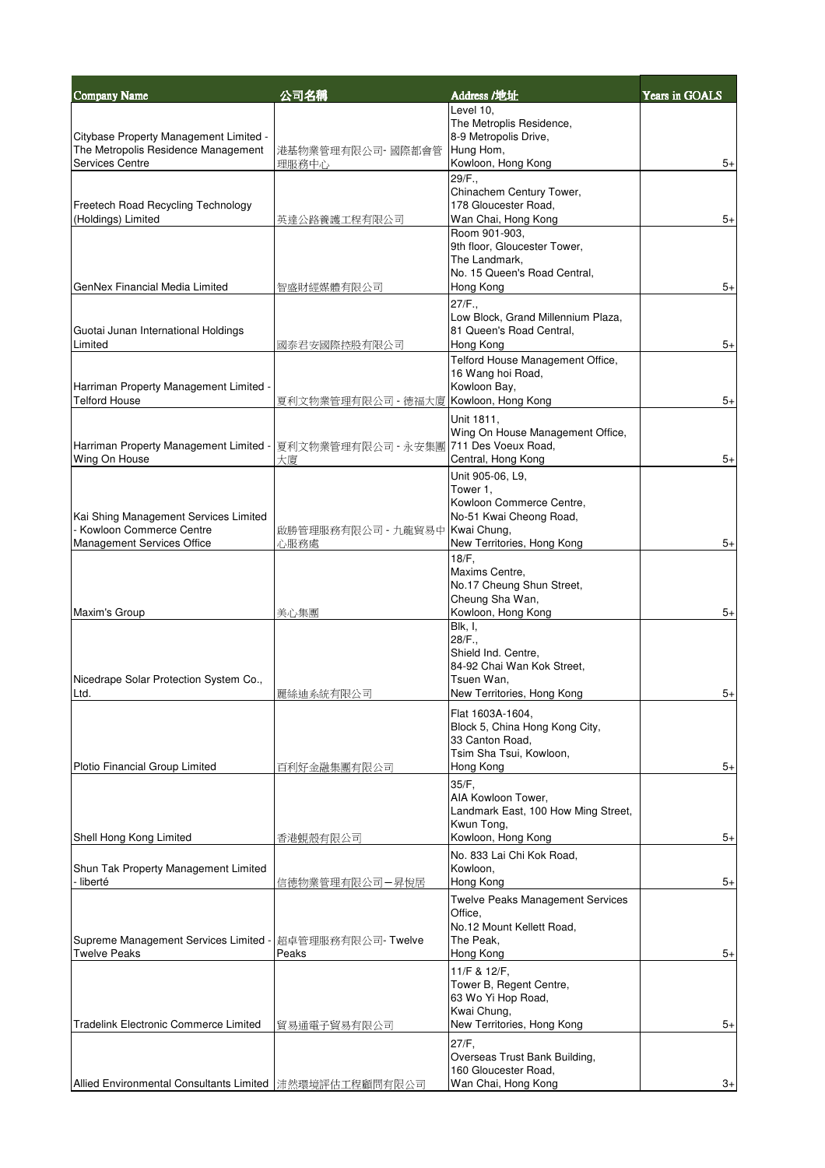| <b>Company Name</b>                                                | 公司名稱                       | Address /地址                                               | Years in GOALS |
|--------------------------------------------------------------------|----------------------------|-----------------------------------------------------------|----------------|
|                                                                    |                            | Level 10,                                                 |                |
| Citybase Property Management Limited -                             |                            | The Metroplis Residence,<br>8-9 Metropolis Drive,         |                |
| The Metropolis Residence Management                                | 港基物業管理有限公司-國際都會管           | Hung Hom,                                                 |                |
| Services Centre                                                    | 理服務中心                      | Kowloon, Hong Kong                                        | $5+$           |
|                                                                    |                            | 29/F.,<br>Chinachem Century Tower,                        |                |
| Freetech Road Recycling Technology                                 |                            | 178 Gloucester Road,                                      |                |
| (Holdings) Limited                                                 | 英達公路養護工程有限公司               | Wan Chai, Hong Kong                                       | $5+$           |
|                                                                    |                            | Room 901-903,<br>9th floor, Gloucester Tower,             |                |
|                                                                    |                            | The Landmark,                                             |                |
| GenNex Financial Media Limited                                     | 智盛財經媒體有限公司                 | No. 15 Queen's Road Central,<br>Hong Kong                 | $5+$           |
|                                                                    |                            | 27/F.                                                     |                |
|                                                                    |                            | Low Block, Grand Millennium Plaza,                        |                |
| Guotai Junan International Holdings                                |                            | 81 Queen's Road Central,                                  |                |
| Limited                                                            | 國泰君安國際控股有限公司               | Hong Kong<br>Telford House Management Office,             | $5+$           |
|                                                                    |                            | 16 Wang hoi Road,                                         |                |
| Harriman Property Management Limited -<br><b>Telford House</b>     |                            | Kowloon Bay,                                              |                |
|                                                                    | 夏利文物業管理有限公司 - 德福大廈         | Kowloon, Hong Kong                                        | $5+$           |
|                                                                    |                            | Unit 1811,<br>Wing On House Management Office,            |                |
| Harriman Property Management Limited -                             | 夏利文物業管理有限公司 - 永安集團         | 711 Des Voeux Road,                                       |                |
| Wing On House                                                      | 大廈                         | Central, Hong Kong                                        | $5+$           |
|                                                                    |                            | Unit 905-06, L9,<br>Tower 1,                              |                |
|                                                                    |                            | Kowloon Commerce Centre,                                  |                |
| Kai Shing Management Services Limited<br>- Kowloon Commerce Centre |                            | No-51 Kwai Cheong Road,<br>Kwai Chung,                    |                |
| Management Services Office                                         | 啟勝管理服務有限公司 - 九龍貿易中<br>心服務處 | New Territories, Hong Kong                                | $5+$           |
|                                                                    |                            | 18/F,                                                     |                |
|                                                                    |                            | Maxims Centre,                                            |                |
|                                                                    |                            | No.17 Cheung Shun Street,<br>Cheung Sha Wan,              |                |
| Maxim's Group                                                      | 美心集團                       | Kowloon, Hong Kong                                        | $5+$           |
|                                                                    |                            | Blk, I,<br>28/F.,                                         |                |
|                                                                    |                            | Shield Ind. Centre,                                       |                |
|                                                                    |                            | 84-92 Chai Wan Kok Street.<br>Tsuen Wan,                  |                |
| Nicedrape Solar Protection System Co.,<br>Ltd.                     | 麗絲迪系統有限公司                  | New Territories, Hong Kong                                | $5+$           |
|                                                                    |                            | Flat 1603A-1604,                                          |                |
|                                                                    |                            | Block 5, China Hong Kong City,                            |                |
|                                                                    |                            | 33 Canton Road,<br>Tsim Sha Tsui, Kowloon,                |                |
| Plotio Financial Group Limited                                     | 百利好金融集團有限公司                | Hong Kong                                                 | $5+$           |
|                                                                    |                            | 35/F,                                                     |                |
|                                                                    |                            | AIA Kowloon Tower,<br>Landmark East, 100 How Ming Street, |                |
|                                                                    |                            | Kwun Tona.                                                |                |
| Shell Hong Kong Limited                                            | 香港蜆殼有限公司                   | Kowloon, Hong Kong                                        | $5+$           |
|                                                                    |                            | No. 833 Lai Chi Kok Road.                                 |                |
| Shun Tak Property Management Limited<br>- liberté                  | 信德物業管理有限公司-昇悅居             | Kowloon,<br>Hong Kong                                     | $5+$           |
|                                                                    |                            | <b>Twelve Peaks Management Services</b>                   |                |
|                                                                    |                            | Office,                                                   |                |
| Supreme Management Services Limited -                              | 超卓管理服務有限公司- Twelve         | No.12 Mount Kellett Road,<br>The Peak,                    |                |
| <b>Twelve Peaks</b>                                                | Peaks                      | Hong Kong                                                 | $5+$           |
|                                                                    |                            | 11/F & 12/F,                                              |                |
|                                                                    |                            | Tower B, Regent Centre,<br>63 Wo Yi Hop Road,             |                |
|                                                                    |                            | Kwai Chung,                                               |                |
| Tradelink Electronic Commerce Limited                              | 貿易通電子貿易有限公司                | New Territories, Hong Kong                                | $5+$           |
|                                                                    |                            | 27/F,                                                     |                |
|                                                                    |                            | Overseas Trust Bank Building,<br>160 Gloucester Road,     |                |
| Allied Environmental Consultants Limited   沛然環境評估工程顧問有限公司          |                            | Wan Chai, Hong Kong                                       | 3+             |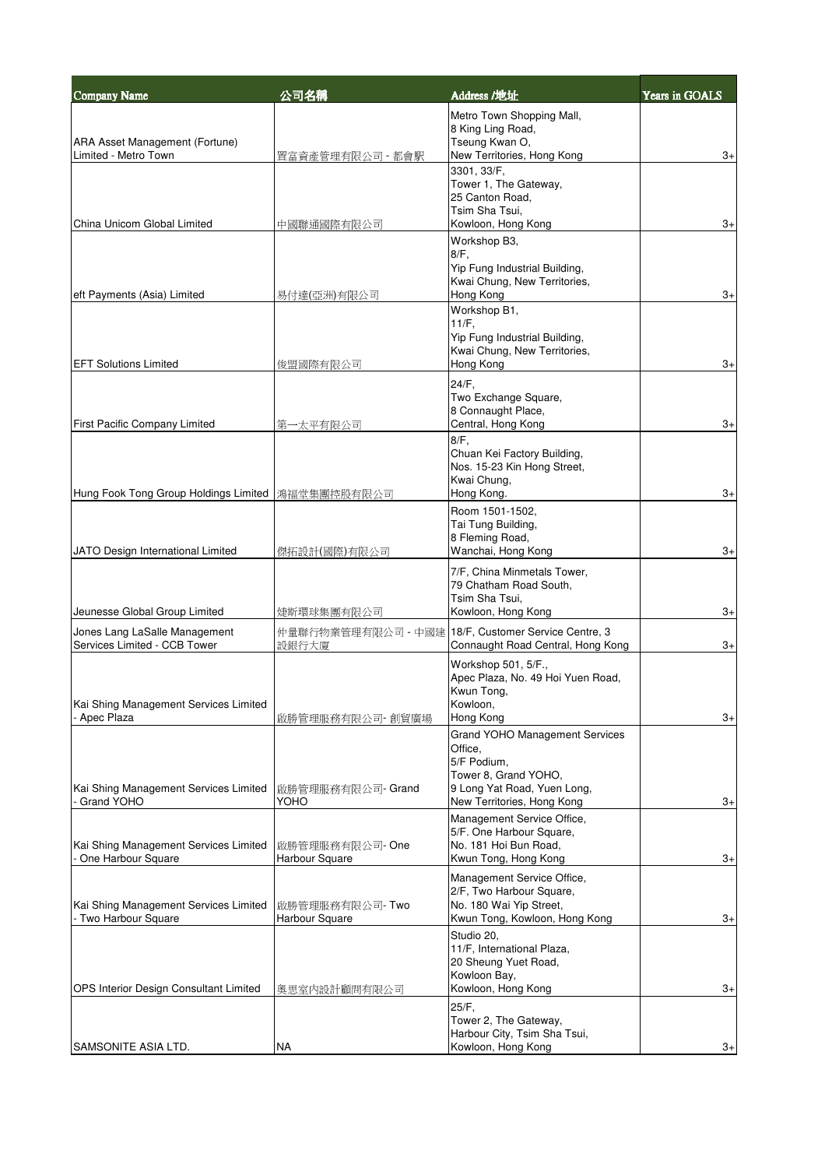| <b>Company Name</b>                                           | 公司名稱                                                         | Address /地址                                                                                                                                          | Years in GOALS |
|---------------------------------------------------------------|--------------------------------------------------------------|------------------------------------------------------------------------------------------------------------------------------------------------------|----------------|
| <b>ARA Asset Management (Fortune)</b>                         |                                                              | Metro Town Shopping Mall,<br>8 King Ling Road,<br>Tseung Kwan O,                                                                                     |                |
| Limited - Metro Town                                          | 置富資產管理有限公司 - 都會駅                                             | New Territories, Hong Kong                                                                                                                           | 3+             |
|                                                               |                                                              | 3301, 33/F,<br>Tower 1, The Gateway,<br>25 Canton Road,<br>Tsim Sha Tsui,                                                                            |                |
| China Unicom Global Limited                                   | 中國聯通國際有限公司                                                   | Kowloon, Hong Kong                                                                                                                                   | 3+             |
|                                                               |                                                              | Workshop B3,<br>$8/F$ ,<br>Yip Fung Industrial Building,                                                                                             |                |
| eft Payments (Asia) Limited                                   | 易付達(亞洲)有限公司                                                  | Kwai Chung, New Territories,<br>Hong Kong                                                                                                            | $3+$           |
| <b>EFT Solutions Limited</b>                                  | 俊盟國際有限公司                                                     | Workshop B1,<br>$11/F$ ,<br>Yip Fung Industrial Building,<br>Kwai Chung, New Territories,<br>Hong Kong                                               | $3+$           |
| <b>First Pacific Company Limited</b>                          | 第一太平有限公司                                                     | 24/F,<br>Two Exchange Square,<br>8 Connaught Place,<br>Central, Hong Kong                                                                            | $3+$           |
| Hung Fook Tong Group Holdings Limited  鴻福堂集團控股有限公司            |                                                              | $8/F$ .<br>Chuan Kei Factory Building,<br>Nos. 15-23 Kin Hong Street,<br>Kwai Chung,<br>Hong Kong.                                                   | $3+$           |
|                                                               |                                                              | Room 1501-1502,<br>Tai Tung Building,<br>8 Fleming Road,                                                                                             |                |
| JATO Design International Limited                             | 傑拓設計(國際)有限公司                                                 | Wanchai, Hong Kong                                                                                                                                   | $3+$           |
| Jeunesse Global Group Limited                                 | <mark>婕</mark> 斯環球集 <u>團有限公司</u>                             | 7/F, China Minmetals Tower,<br>79 Chatham Road South,<br>Tsim Sha Tsui,<br>Kowloon, Hong Kong                                                        | $3+$           |
| Jones Lang LaSalle Management<br>Services Limited - CCB Tower | 仲量聯行物業管理有限公司 - 中國建 18/F, Customer Service Centre, 3<br>設銀行大廈 | Connaught Road Central, Hong Kong                                                                                                                    | $3+$           |
| Kai Shing Management Services Limited                         |                                                              | Workshop 501, 5/F.,<br>Apec Plaza, No. 49 Hoi Yuen Road,<br>Kwun Tong,<br>Kowloon,                                                                   |                |
| - Apec Plaza                                                  | 啟勝管理服務有限公司- 創貿廣場                                             | Hong Kong                                                                                                                                            | $3+$           |
| Kai Shing Management Services Limited<br>Grand YOHO           | 啟勝管理服務有限公司- Grand<br>YOHO                                    | <b>Grand YOHO Management Services</b><br>Office,<br>5/F Podium,<br>Tower 8, Grand YOHO,<br>9 Long Yat Road, Yuen Long,<br>New Territories, Hong Kong | $3+$           |
|                                                               |                                                              | Management Service Office,                                                                                                                           |                |
| Kai Shing Management Services Limited<br>One Harbour Square   | 啟勝管理服務有限公司-One<br>Harbour Square                             | 5/F. One Harbour Square,<br>No. 181 Hoi Bun Road,<br>Kwun Tong, Hong Kong                                                                            | $3+$           |
| Kai Shing Management Services Limited<br>Two Harbour Square   | 啟勝管理服務有限公司- Two<br>Harbour Square                            | Management Service Office,<br>2/F, Two Harbour Square,<br>No. 180 Wai Yip Street,<br>Kwun Tong, Kowloon, Hong Kong                                   | $3+$           |
| OPS Interior Design Consultant Limited                        | 奥思室内設計顧問有限公司                                                 | Studio 20,<br>11/F, International Plaza,<br>20 Sheung Yuet Road,<br>Kowloon Bay,<br>Kowloon, Hong Kong                                               | $3+$           |
|                                                               |                                                              | 25/F,<br>Tower 2, The Gateway,<br>Harbour City, Tsim Sha Tsui,                                                                                       |                |
| SAMSONITE ASIA LTD.                                           | NA                                                           | Kowloon, Hong Kong                                                                                                                                   | $3+$           |